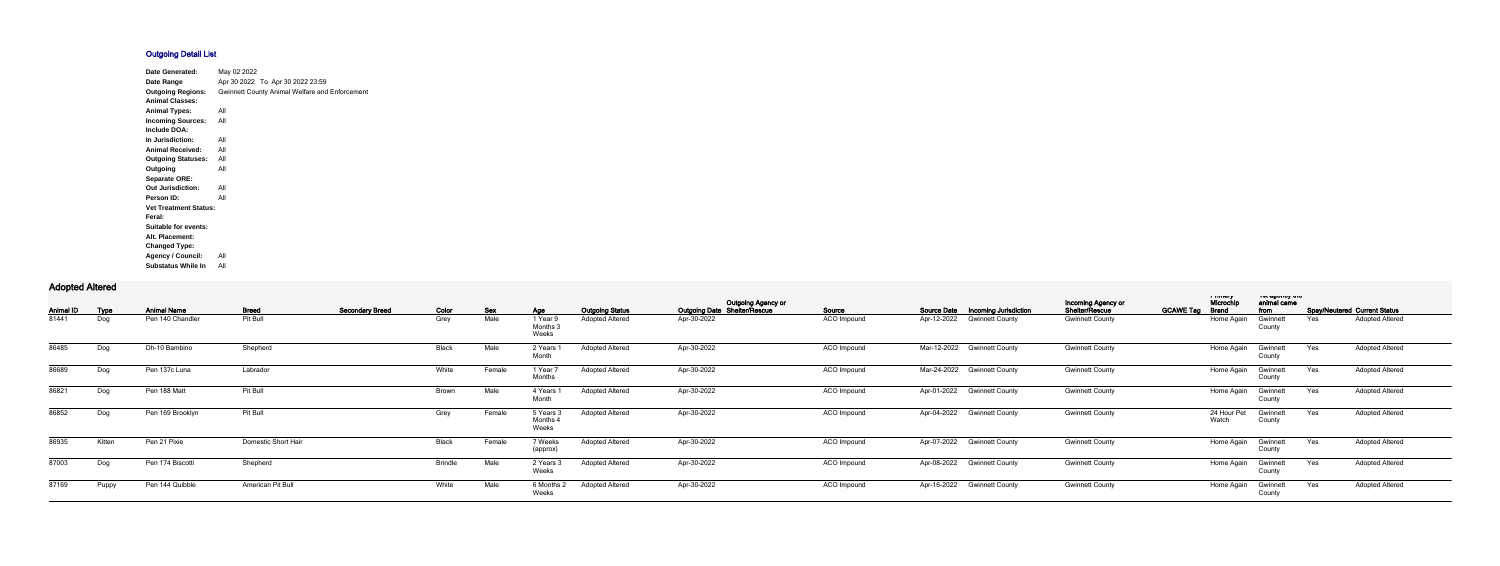## **Outgoing Detail List**

| Date Generated:              | May 02 2022                                           |
|------------------------------|-------------------------------------------------------|
| Date Range                   | Apr 30 2022 To Apr 30 2022 23:59                      |
| <b>Outgoing Regions:</b>     | <b>Gwinnett County Animal Welfare and Enforcement</b> |
| <b>Animal Classes:</b>       |                                                       |
| <b>Animal Types:</b>         | All                                                   |
| <b>Incoming Sources:</b>     | All                                                   |
| Include DOA:                 |                                                       |
| In Jurisdiction:             | All                                                   |
| <b>Animal Received:</b>      | All                                                   |
| <b>Outgoing Statuses:</b>    | All                                                   |
| Outgoing                     | All                                                   |
| <b>Separate ORE:</b>         |                                                       |
| <b>Out Jurisdiction:</b>     | All                                                   |
| Person ID:                   | All                                                   |
| <b>Vet Treatment Status:</b> |                                                       |
| Feral:                       |                                                       |
| Suitable for events:         |                                                       |
| Alt. Placement:              |                                                       |
| <b>Changed Type:</b>         |                                                       |
| <b>Agency / Council:</b>     | All                                                   |
| <b>Substatus While In</b>    | All                                                   |

## **Adopted Altered**

|                  |        |                    |                     |                        |                |            |                              |                        |                                                                  |                    |                                                    |                                             | i musiq                                       |                     | יוט עשטוועץ עונ |                                     |  |
|------------------|--------|--------------------|---------------------|------------------------|----------------|------------|------------------------------|------------------------|------------------------------------------------------------------|--------------------|----------------------------------------------------|---------------------------------------------|-----------------------------------------------|---------------------|-----------------|-------------------------------------|--|
| <b>Animal ID</b> | Type   | <b>Animal Name</b> | <b>Breed</b>        | <b>Secondary Breed</b> | Color          | <b>Sex</b> | Age                          | <b>Outgoing Status</b> | <b>Outgoing Agency or</b><br><b>Outgoing Date Shelter/Rescue</b> | Source             | <b>Source Date</b><br><b>Incoming Jurisdiction</b> | <b>Incoming Agency or</b><br>Shelter/Rescue | Microchip<br><b>GCAWE Tag</b><br><b>Brand</b> | animal came<br>from |                 | <b>Spay/Neutered Current Status</b> |  |
| 81441            | Dog    | Pen 140 Chandler   | Pit Bull            |                        | Grey           | Male       | 1 Year!<br>Months:<br>Weeks  | <b>Adopted Altered</b> | Apr-30-2022                                                      | ACO Impound        | Apr-12-2022<br><b>Gwinnett County</b>              | <b>Gwinnett County</b>                      | Home Again                                    | Gwinnet<br>County   | Yes             | <b>Adopted Altered</b>              |  |
| 86485            | Dog    | Dh-10 Bambino      | Shepherd            |                        | Black          | Male       | 2 Years<br>Month             | <b>Adopted Altered</b> | Apr-30-2022                                                      | ACO Impound        | Mar-12-2022 Gwinnett County                        | <b>Gwinnett County</b>                      | Home Again                                    | Gwinnett<br>County  | Yes             | <b>Adopted Altered</b>              |  |
| 86689            | Dog    | Pen 137c Luna      | Labrador            |                        | White          | Female     | 1 Year 7<br>Months           | <b>Adopted Altered</b> | Apr-30-2022                                                      | ACO Impound        | Mar-24-2022 Gwinnett County                        | <b>Gwinnett County</b>                      | Home Again                                    | Gwinnett<br>County  | Yes             | <b>Adopted Altered</b>              |  |
| 86821            | Dog    | Pen 188 Matt       | Pit Bull            |                        | Brown          | Male       | 4 Years<br>Month             | <b>Adopted Altered</b> | Apr-30-2022                                                      | ACO Impound        | Apr-01-2022 Gwinnett County                        | <b>Gwinnett County</b>                      | Home Again                                    | Gwinnett<br>County  | Yes             | <b>Adopted Altered</b>              |  |
| 86852            | Dog    | Pen 169 Brooklyn   | Pit Bull            |                        | Grey           | Female     | 5 Years 3<br>Months<br>Weeks | <b>Adopted Altered</b> | Apr-30-2022                                                      | ACO Impound        | Apr-04-2022 Gwinnett County                        | <b>Gwinnett County</b>                      | 24 Hour Pet<br>Watch                          | Gwinnett<br>County  | Yes             | <b>Adopted Altered</b>              |  |
| 86935            | Kitten | Pen 21 Pixie       | Domestic Short Hair |                        | Black          | Female     | 7 Weeks<br>(approx)          | <b>Adopted Altered</b> | Apr-30-2022                                                      | ACO Impound        | Apr-07-2022 Gwinnett County                        | <b>Gwinnett County</b>                      | Home Again                                    | Gwinnett<br>County  | Yes             | <b>Adopted Altered</b>              |  |
| 87003            | Dog    | Pen 174 Biscotti   | Shepherd            |                        | <b>Brindle</b> | Male       | 2 Years 3<br>Weeks           | <b>Adopted Altered</b> | Apr-30-2022                                                      | ACO Impound        | Apr-08-2022 Gwinnett County                        | <b>Gwinnett County</b>                      | Home Again                                    | Gwinnett<br>County  | Yes             | <b>Adopted Altered</b>              |  |
| 87169            | Puppy  | Pen 144 Quibble    | American Pit Bull   |                        | White          | Male       | 6 Months 2<br>Weeks          | <b>Adopted Altered</b> | Apr-30-2022                                                      | <b>ACO</b> Impound | Apr-16-2022 Gwinnett County                        | <b>Gwinnett County</b>                      | Home Again                                    | Gwinnett<br>County  | Yes             | <b>Adopted Altered</b>              |  |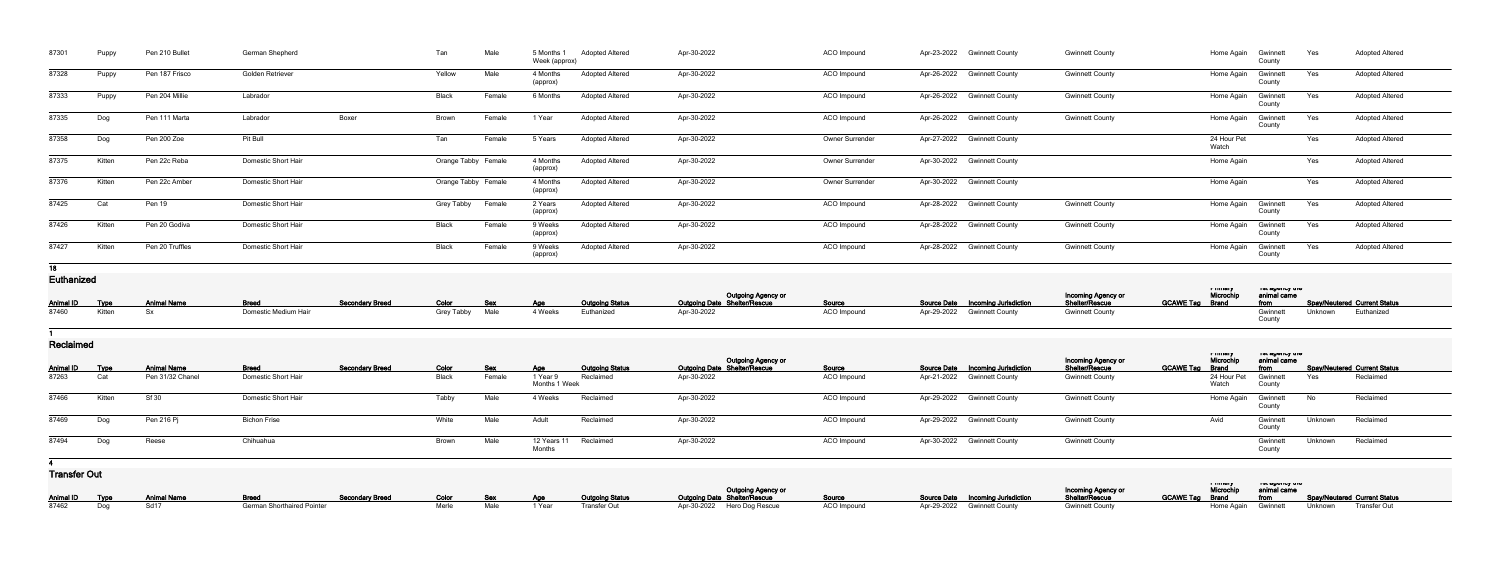| 87301             | Puppy       | Pen 210 Bullet     | German Shepherd            |                        | Tan                 | Male       | 5 Months 1<br>Week (approx) | <b>Adopted Altered</b> | Apr-30-2022                                        | ACO Impound        | Apr-23-2022 | <b>Gwinnett County</b>             | <b>Gwinnett County</b>               | Home Again                     | Gwinnett<br>County               | Yes     | <b>Adopted Altered</b>              |
|-------------------|-------------|--------------------|----------------------------|------------------------|---------------------|------------|-----------------------------|------------------------|----------------------------------------------------|--------------------|-------------|------------------------------------|--------------------------------------|--------------------------------|----------------------------------|---------|-------------------------------------|
| 87328             | Puppy       | Pen 187 Frisco     | Golden Retriever           |                        | Yellow              | Male       | 4 Months<br>(approx)        | <b>Adopted Altered</b> | Apr-30-2022                                        | ACO Impound        |             | Apr-26-2022 Gwinnett County        | <b>Gwinnett County</b>               | Home Again                     | Gwinnett<br>County               | Yes     | <b>Adopted Altered</b>              |
| 87333             | Puppy       | Pen 204 Millie     | Labrador                   |                        | Black               | Female     | 6 Months                    | <b>Adopted Altered</b> | Apr-30-2022                                        | ACO Impound        |             | Apr-26-2022 Gwinnett County        | <b>Gwinnett County</b>               | Home Again                     | Gwinnett<br>County               | Yes     | <b>Adopted Altered</b>              |
| 87335             | Dog         | Pen 111 Marta      | Labrador                   | Boxer                  | Brown               | Female     | 1 Year                      | <b>Adopted Altered</b> | Apr-30-2022                                        | ACO Impound        |             | Apr-26-2022 Gwinnett County        | <b>Gwinnett County</b>               | Home Again                     | Gwinnett<br>County               | Yes     | <b>Adopted Altered</b>              |
| 87358             | Dog         | Pen 200 Zoe        | Pit Bull                   |                        | Tan                 | Female     | 5 Years                     | <b>Adopted Altered</b> | Apr-30-2022                                        | Owner Surrender    |             | Apr-27-2022 Gwinnett County        |                                      | 24 Hour Pet<br>Watch           |                                  | Yes     | <b>Adopted Altered</b>              |
| 87375             | Kitten      | Pen 22c Reba       | Domestic Short Hair        |                        | Orange Tabby Female |            | 4 Months<br>(approx)        | <b>Adopted Altered</b> | Apr-30-2022                                        | Owner Surrender    |             | Apr-30-2022 Gwinnett County        |                                      | Home Again                     |                                  | Yes     | <b>Adopted Altered</b>              |
| 87376             | Kitten      | Pen 22c Amber      | <b>Domestic Short Hair</b> |                        | Orange Tabby Female |            | 4 Months<br>(approx)        | <b>Adopted Altered</b> | Apr-30-2022                                        | Owner Surrender    |             | Apr-30-2022 Gwinnett County        |                                      | Home Again                     |                                  | Yes     | <b>Adopted Altered</b>              |
| 87425             | Cat         | Pen 19             | <b>Domestic Short Hair</b> |                        | Grey Tabby          | Female     | 2 Years<br>(approx)         | <b>Adopted Altered</b> | Apr-30-2022                                        | ACO Impound        |             | Apr-28-2022 Gwinnett County        | <b>Gwinnett County</b>               | Home Again                     | Gwinnett<br>County               | Yes     | <b>Adopted Altered</b>              |
| 87426             | Kitten      | Pen 20 Godiva      | <b>Domestic Short Hair</b> |                        | Black               | Female     | 9 Weeks<br>(approx)         | <b>Adopted Altered</b> | Apr-30-2022                                        | ACO Impound        |             | Apr-28-2022 Gwinnett County        | <b>Gwinnett County</b>               | Home Again                     | Gwinnett<br>County               | Yes     | <b>Adopted Altered</b>              |
| 87427             | Kitten      | Pen 20 Truffles    | Domestic Short Hair        |                        | Black               | Female     | 9 Weeks<br>(approx)         | <b>Adopted Altered</b> | Apr-30-2022                                        | ACO Impound        |             | Apr-28-2022 Gwinnett County        | <b>Gwinnett County</b>               | Home Again                     | Gwinnett<br>County               | Yes     | <b>Adopted Altered</b>              |
| 18                |             |                    |                            |                        |                     |            |                             |                        |                                                    |                    |             |                                    |                                      |                                |                                  |         |                                     |
| <b>Euthanized</b> |             |                    |                            |                        |                     |            |                             |                        |                                                    |                    |             |                                    |                                      | <b>TERRIT DES</b><br>Microchip | ו סג טשטווטץ גווס<br>animal came |         |                                     |
| <b>Animal ID</b>  | <b>Type</b> | <b>Animal Name</b> | <b>Breed</b>               | <b>Secondary Breed</b> | Color               | <b>Sex</b> | <b>Age</b>                  | <b>Outgoing Status</b> | Outgoing Agency or<br>Outgoing Date Shelter/Rescue | Source             |             | Source Date  Incoming Jurisdiction | Incoming Agency or<br>Shelter/Rescue | <b>GCAWE Tag Brand</b>         | from                             |         | <b>Spay/Neutered Current Status</b> |
| 87460             | Kitten      | Sx                 | Domestic Medium Hair       |                        | Grey Tabby          | Male       | 4 Weeks                     | Euthanized             | Apr-30-2022                                        | <b>ACO</b> Impound |             | Apr-29-2022 Gwinnett County        | <b>Gwinnett County</b>               |                                | Gwinne<br>County                 | Unknown | Euthanized                          |

## **1**

**Reclaimed**

| <b>I IGUIGIIIIGU</b> |        |                    |                     |                        |       |            |                           |                        |                                                                  |               |                                          |                                      |                                                   |                                            |         |                              |
|----------------------|--------|--------------------|---------------------|------------------------|-------|------------|---------------------------|------------------------|------------------------------------------------------------------|---------------|------------------------------------------|--------------------------------------|---------------------------------------------------|--------------------------------------------|---------|------------------------------|
| <b>Animal ID</b>     | Type   | <b>Animal Name</b> | <b>Breed</b>        | <b>Secondary Breed</b> | Color | <b>Sex</b> | Age                       | <b>Outgoing Status</b> | <b>Outgoing Agency or</b><br><b>Outgoing Date Shelter/Rescue</b> | <u>Source</u> | <b>Source Date Incoming Jurisdiction</b> | Incoming Agency or<br>Shelter/Rescue | i musiy<br>Microchip<br><b>GCAWE Tag</b><br>Brand | ו סג טעשטויטץ נוויס<br>animal came<br>from |         | Spay/Neutered Current Status |
| 87263                | Cat    | Pen 31/32 Chanel   | Domestic Short Hair |                        | Black | Female     | 1 Year 9<br>Months 1 Week | Reclaimed              | Apr-30-2022                                                      | ACO Impound   | Apr-21-2022 Gwinnett County              | <b>Gwinnett County</b>               | 24 Hour Pet<br>Watch                              | Gwinnett<br>County                         | Yes     | Reclaimed                    |
| 87466                | Kitten | Sf 30              | Domestic Short Hair |                        | Tabby | Male       | 4 Weeks                   | Reclaimed              | Apr-30-2022                                                      | ACO Impound   | Apr-29-2022 Gwinnett County              | <b>Gwinnett County</b>               | Home Again                                        | Gwinnett<br>County                         | - No    | Reclaimed                    |
| 87469                | Dog    | Pen 216 Pj         | <b>Bichon Frise</b> |                        | White | Male       | Adult                     | Reclaimed              | Apr-30-2022                                                      | ACO Impound   | Apr-29-2022 Gwinnett County              | <b>Gwinnett County</b>               | Avid                                              | Gwinnet<br>County                          | Unknown | Reclaimed                    |
| 87494                | Dog    | Reese              | Chihuahua           |                        | Brown | Male       | 12 Years 11<br>Months     | Reclaimed              | Apr-30-2022                                                      | ACO Impound   | Apr-30-2022 Gwinnett County              | <b>Gwinnett County</b>               |                                                   | Gwinnett<br>County                         | Unknown | Reclaimed                    |

**4**

**Transfer Out**

| ו וטוטוטו ענ |                |                            |                                                                 |  |  |                                |                                                      |                    |                                          |                           |                      |                                 |                                                   |
|--------------|----------------|----------------------------|-----------------------------------------------------------------|--|--|--------------------------------|------------------------------------------------------|--------------------|------------------------------------------|---------------------------|----------------------|---------------------------------|---------------------------------------------------|
|              |                |                            |                                                                 |  |  |                                | Outgoing Agency or                                   |                    |                                          | <b>Incoming Agency or</b> | a music<br>Microchip | ו טו טשטווט אווי<br>animal came |                                                   |
|              |                | Animal ID Type Animal Name | <b>Example 19 Secondary Breed Secondary Breed Color Sex Age</b> |  |  | <b>Outgoing Status</b>         | <b>Outgoing Date Shelter/Rescue</b><br><b>Source</b> |                    | <b>Source Date Incoming Jurisdiction</b> | Shelter/Rescue            |                      |                                 | GCAWE Tag Brand from Spay/Neutered Current Status |
|              | 87462 Dog Sd17 |                            | <b>German Shorthaired Pointer</b>                               |  |  | Merle Male 1 Year Transfer Out | Apr-30-2022 Hero Dog Rescue                          | <b>ACO Impound</b> | Apr-29-2022 Gwinnett County              | <b>Gwinnett County</b>    |                      |                                 | Home Again Gwinnett Unknown Transfer Out          |